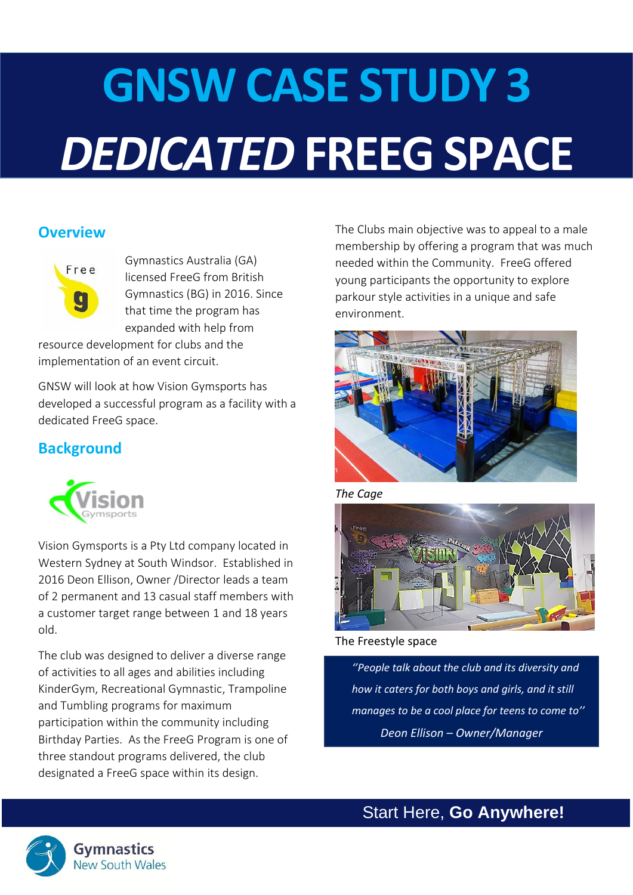# **GNSW CASE STUDY 3** *DEDICATED* **FREEG SPACE**

## **Overview**



Gymnastics Australia (GA) licensed FreeG from British Gymnastics (BG) in 2016. Since that time the program has expanded with help from

resource development for clubs and the implementation of an event circuit.

GNSW will look at how Vision Gymsports has developed a successful program as a facility with a dedicated FreeG space.

## **Background**



Vision Gymsports is a Pty Ltd company located in Western Sydney at South Windsor. Established in 2016 Deon Ellison, Owner /Director leads a team of 2 permanent and 13 casual staff members with a customer target range between 1 and 18 years old.

The club was designed to deliver a diverse range of activities to all ages and abilities including KinderGym, Recreational Gymnastic, Trampoline and Tumbling programs for maximum participation within the community including Birthday Parties. As the FreeG Program is one of three standout programs delivered, the club designated a FreeG space within its design.

The Clubs main objective was to appeal to a male membership by offering a program that was much needed within the Community. FreeG offered young participants the opportunity to explore parkour style activities in a unique and safe environment.



*The Cage*



#### The Freestyle space

*''People talk about the club and its diversity and how it caters for both boys and girls, and it still manages to be a cool place for teens to come to'' Deon Ellison – Owner/Manager*

Start Here, **Go Anywhere!**